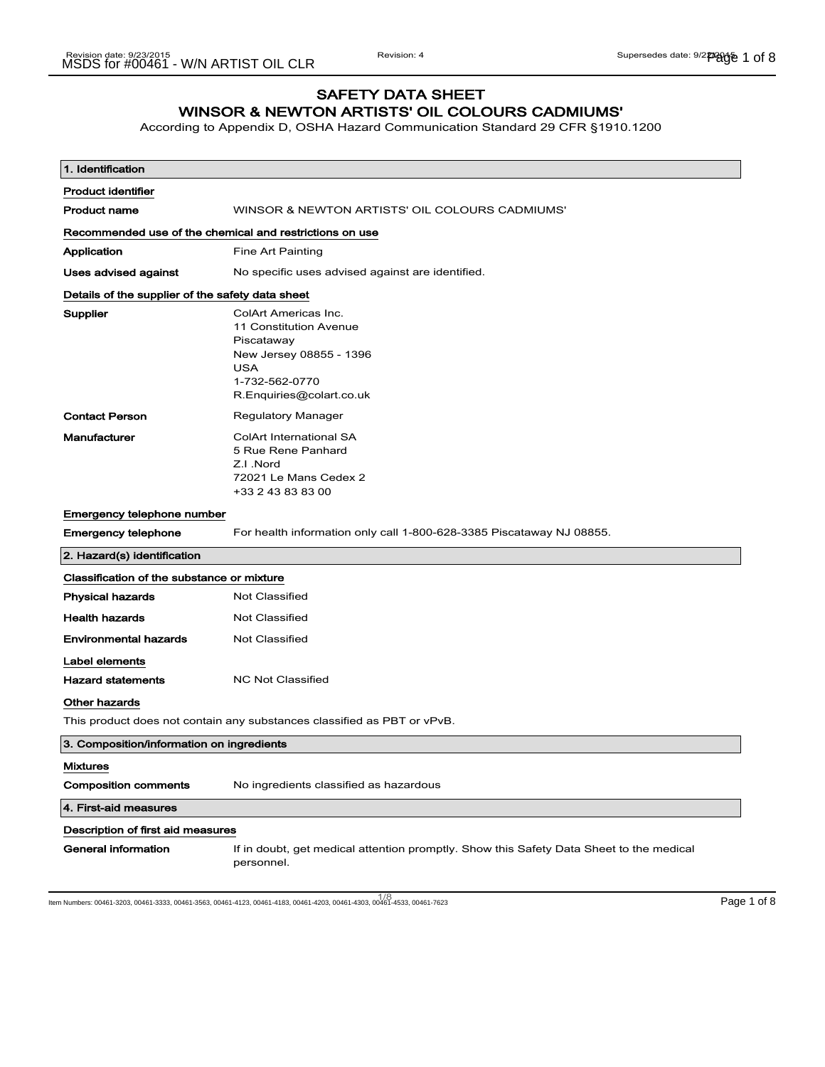## SAFETY DATA SHEET WINSOR & NEWTON ARTISTS' OIL COLOURS CADMIUMS'

According to Appendix D, OSHA Hazard Communication Standard 29 CFR §1910.1200

| 1. Identification                                                       |                                                                                                                                              |
|-------------------------------------------------------------------------|----------------------------------------------------------------------------------------------------------------------------------------------|
| <b>Product identifier</b>                                               |                                                                                                                                              |
| <b>Product name</b>                                                     | WINSOR & NEWTON ARTISTS' OIL COLOURS CADMIUMS'                                                                                               |
| Recommended use of the chemical and restrictions on use                 |                                                                                                                                              |
| Application                                                             | Fine Art Painting                                                                                                                            |
| Uses advised against                                                    | No specific uses advised against are identified.                                                                                             |
| Details of the supplier of the safety data sheet                        |                                                                                                                                              |
| Supplier                                                                | ColArt Americas Inc.<br>11 Constitution Avenue<br>Piscataway<br>New Jersey 08855 - 1396<br>USA<br>1-732-562-0770<br>R.Enquiries@colart.co.uk |
| <b>Contact Person</b>                                                   | Regulatory Manager                                                                                                                           |
| Manufacturer                                                            | <b>ColArt International SA</b><br>5 Rue Rene Panhard<br>Z.I.Nord<br>72021 Le Mans Cedex 2<br>+33 2 43 83 83 00                               |
| Emergency telephone number                                              |                                                                                                                                              |
| <b>Emergency telephone</b>                                              | For health information only call 1-800-628-3385 Piscataway NJ 08855.                                                                         |
| 2. Hazard(s) identification                                             |                                                                                                                                              |
| Classification of the substance or mixture                              |                                                                                                                                              |
| <b>Physical hazards</b>                                                 | <b>Not Classified</b>                                                                                                                        |
| <b>Health hazards</b>                                                   | <b>Not Classified</b>                                                                                                                        |
| <b>Environmental hazards</b>                                            | <b>Not Classified</b>                                                                                                                        |
| Label elements<br><b>Hazard statements</b>                              | <b>NC Not Classified</b>                                                                                                                     |
| Other hazards                                                           |                                                                                                                                              |
| This product does not contain any substances classified as PBT or vPvB. |                                                                                                                                              |
| 3. Composition/information on ingredients                               |                                                                                                                                              |
| <b>Mixtures</b><br><b>Composition comments</b>                          | No ingredients classified as hazardous                                                                                                       |
| 4. First-aid measures                                                   |                                                                                                                                              |
| Description of first aid measures                                       |                                                                                                                                              |
| <b>General information</b>                                              | If in doubt, get medical attention promptly. Show this Safety Data Sheet to the medical<br>personnel.                                        |

1/8<br>Item Numbers: 00461-3203, 00461-3333, 00461-3563, 00461-4123, 00461-4183, 00461-4203, 00461-4303, 00461-4533, 00461-7623 Page 1 of 8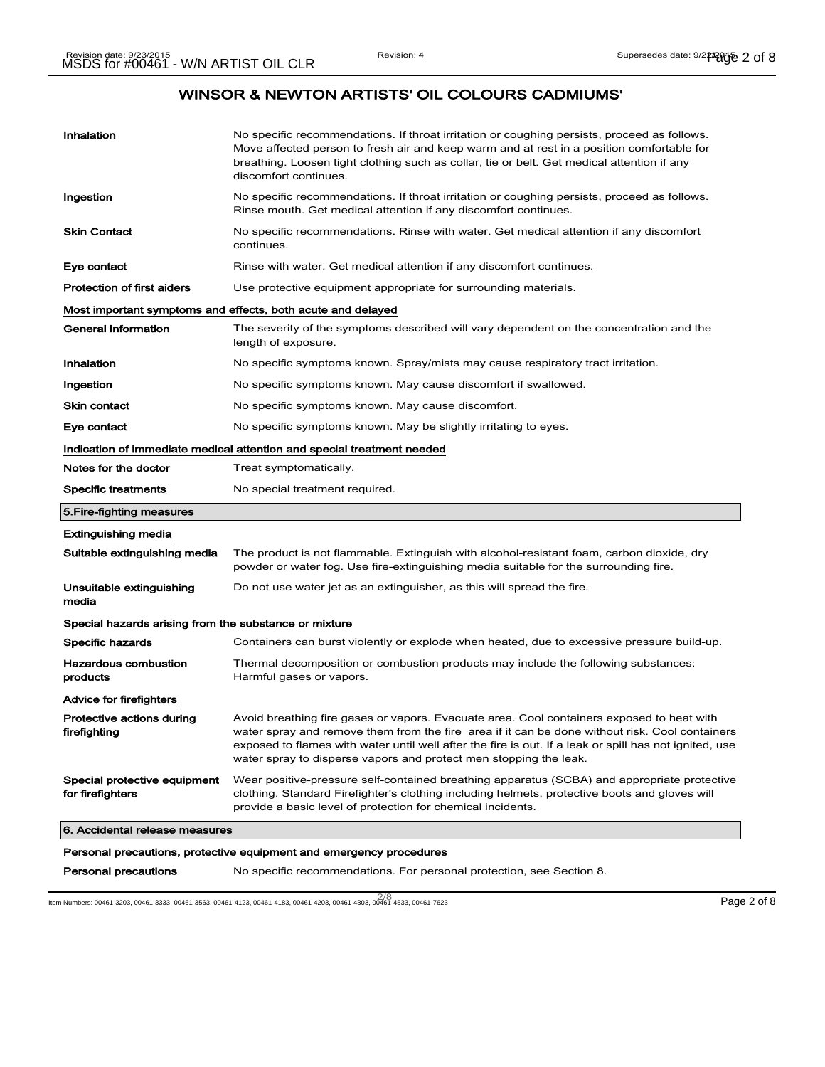| Inhalation                                            | No specific recommendations. If throat irritation or coughing persists, proceed as follows.<br>Move affected person to fresh air and keep warm and at rest in a position comfortable for<br>breathing. Loosen tight clothing such as collar, tie or belt. Get medical attention if any<br>discomfort continues.                                                            |
|-------------------------------------------------------|----------------------------------------------------------------------------------------------------------------------------------------------------------------------------------------------------------------------------------------------------------------------------------------------------------------------------------------------------------------------------|
| Ingestion                                             | No specific recommendations. If throat irritation or coughing persists, proceed as follows.<br>Rinse mouth. Get medical attention if any discomfort continues.                                                                                                                                                                                                             |
| <b>Skin Contact</b>                                   | No specific recommendations. Rinse with water. Get medical attention if any discomfort<br>continues.                                                                                                                                                                                                                                                                       |
| Eye contact                                           | Rinse with water. Get medical attention if any discomfort continues.                                                                                                                                                                                                                                                                                                       |
| <b>Protection of first aiders</b>                     | Use protective equipment appropriate for surrounding materials.                                                                                                                                                                                                                                                                                                            |
|                                                       | Most important symptoms and effects, both acute and delayed                                                                                                                                                                                                                                                                                                                |
| <b>General information</b>                            | The severity of the symptoms described will vary dependent on the concentration and the<br>length of exposure.                                                                                                                                                                                                                                                             |
| Inhalation                                            | No specific symptoms known. Spray/mists may cause respiratory tract irritation.                                                                                                                                                                                                                                                                                            |
| Ingestion                                             | No specific symptoms known. May cause discomfort if swallowed.                                                                                                                                                                                                                                                                                                             |
| <b>Skin contact</b>                                   | No specific symptoms known. May cause discomfort.                                                                                                                                                                                                                                                                                                                          |
| Eye contact                                           | No specific symptoms known. May be slightly irritating to eyes.                                                                                                                                                                                                                                                                                                            |
|                                                       | Indication of immediate medical attention and special treatment needed                                                                                                                                                                                                                                                                                                     |
| Notes for the doctor                                  | Treat symptomatically.                                                                                                                                                                                                                                                                                                                                                     |
| <b>Specific treatments</b>                            | No special treatment required.                                                                                                                                                                                                                                                                                                                                             |
| 5.Fire-fighting measures                              |                                                                                                                                                                                                                                                                                                                                                                            |
| <b>Extinguishing media</b>                            |                                                                                                                                                                                                                                                                                                                                                                            |
| Suitable extinguishing media                          | The product is not flammable. Extinguish with alcohol-resistant foam, carbon dioxide, dry<br>powder or water fog. Use fire-extinguishing media suitable for the surrounding fire.                                                                                                                                                                                          |
| Unsuitable extinguishing<br>media                     | Do not use water jet as an extinguisher, as this will spread the fire.                                                                                                                                                                                                                                                                                                     |
|                                                       |                                                                                                                                                                                                                                                                                                                                                                            |
| Special hazards arising from the substance or mixture |                                                                                                                                                                                                                                                                                                                                                                            |
| Specific hazards                                      | Containers can burst violently or explode when heated, due to excessive pressure build-up.                                                                                                                                                                                                                                                                                 |
| <b>Hazardous combustion</b><br>products               | Thermal decomposition or combustion products may include the following substances:<br>Harmful gases or vapors.                                                                                                                                                                                                                                                             |
| Advice for firefighters                               |                                                                                                                                                                                                                                                                                                                                                                            |
| Protective actions during<br>firefighting             | Avoid breathing fire gases or vapors. Evacuate area. Cool containers exposed to heat with<br>water spray and remove them from the fire area if it can be done without risk. Cool containers<br>exposed to flames with water until well after the fire is out. If a leak or spill has not ignited, use<br>water spray to disperse vapors and protect men stopping the leak. |
| Special protective equipment<br>for firefighters      | Wear positive-pressure self-contained breathing apparatus (SCBA) and appropriate protective<br>clothing. Standard Firefighter's clothing including helmets, protective boots and gloves will<br>provide a basic level of protection for chemical incidents.                                                                                                                |
| 6. Accidental release measures                        |                                                                                                                                                                                                                                                                                                                                                                            |
|                                                       | Personal precautions, protective equipment and emergency procedures                                                                                                                                                                                                                                                                                                        |

2/ 8 Item Numbers: 00461-3203, 00461-3333, 00461-3563, 00461-4123, 00461-4183, 00461-4203, 00461-4303, 00461-4533, 00461-7623 Page 2 of 8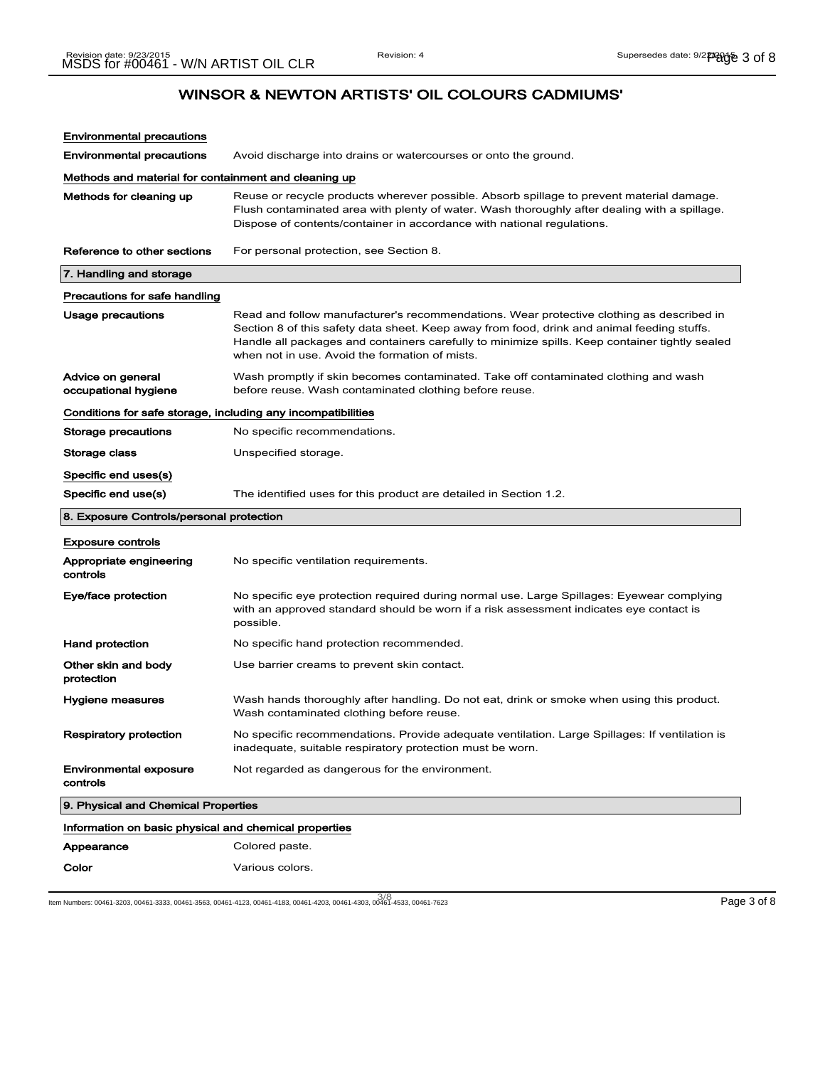| <b>Environmental precautions</b>                             |                                                                                                                                                                                                                                                                                                                                            |
|--------------------------------------------------------------|--------------------------------------------------------------------------------------------------------------------------------------------------------------------------------------------------------------------------------------------------------------------------------------------------------------------------------------------|
| <b>Environmental precautions</b>                             | Avoid discharge into drains or watercourses or onto the ground.                                                                                                                                                                                                                                                                            |
| Methods and material for containment and cleaning up         |                                                                                                                                                                                                                                                                                                                                            |
| Methods for cleaning up                                      | Reuse or recycle products wherever possible. Absorb spillage to prevent material damage.<br>Flush contaminated area with plenty of water. Wash thoroughly after dealing with a spillage.<br>Dispose of contents/container in accordance with national regulations.                                                                         |
| Reference to other sections                                  | For personal protection, see Section 8.                                                                                                                                                                                                                                                                                                    |
| 7. Handling and storage                                      |                                                                                                                                                                                                                                                                                                                                            |
| Precautions for safe handling                                |                                                                                                                                                                                                                                                                                                                                            |
| <b>Usage precautions</b>                                     | Read and follow manufacturer's recommendations. Wear protective clothing as described in<br>Section 8 of this safety data sheet. Keep away from food, drink and animal feeding stuffs.<br>Handle all packages and containers carefully to minimize spills. Keep container tightly sealed<br>when not in use. Avoid the formation of mists. |
| Advice on general<br>occupational hygiene                    | Wash promptly if skin becomes contaminated. Take off contaminated clothing and wash<br>before reuse. Wash contaminated clothing before reuse.                                                                                                                                                                                              |
| Conditions for safe storage, including any incompatibilities |                                                                                                                                                                                                                                                                                                                                            |
| Storage precautions                                          | No specific recommendations.                                                                                                                                                                                                                                                                                                               |
| Storage class                                                | Unspecified storage.                                                                                                                                                                                                                                                                                                                       |
| Specific end uses(s)                                         |                                                                                                                                                                                                                                                                                                                                            |
| Specific end use(s)                                          | The identified uses for this product are detailed in Section 1.2.                                                                                                                                                                                                                                                                          |
|                                                              |                                                                                                                                                                                                                                                                                                                                            |
| 8. Exposure Controls/personal protection                     |                                                                                                                                                                                                                                                                                                                                            |
| <b>Exposure controls</b>                                     |                                                                                                                                                                                                                                                                                                                                            |
| Appropriate engineering<br>controls                          | No specific ventilation requirements.                                                                                                                                                                                                                                                                                                      |
| Eye/face protection                                          | No specific eye protection required during normal use. Large Spillages: Eyewear complying<br>with an approved standard should be worn if a risk assessment indicates eye contact is<br>possible.                                                                                                                                           |
| Hand protection                                              | No specific hand protection recommended.                                                                                                                                                                                                                                                                                                   |
| Other skin and body<br>protection                            | Use barrier creams to prevent skin contact.                                                                                                                                                                                                                                                                                                |
| Hygiene measures                                             | Wash hands thoroughly after handling. Do not eat, drink or smoke when using this product.<br>Wash contaminated clothing before reuse.                                                                                                                                                                                                      |
| <b>Respiratory protection</b>                                | No specific recommendations. Provide adequate ventilation. Large Spillages: If ventilation is<br>inadequate, suitable respiratory protection must be worn.                                                                                                                                                                                 |
| <b>Environmental exposure</b><br>controls                    | Not regarded as dangerous for the environment.                                                                                                                                                                                                                                                                                             |
| 9. Physical and Chemical Properties                          |                                                                                                                                                                                                                                                                                                                                            |
| Information on basic physical and chemical properties        |                                                                                                                                                                                                                                                                                                                                            |
| Appearance                                                   | Colored paste.                                                                                                                                                                                                                                                                                                                             |

1/10 km Numbers: 00461-3203, 00461-3333, 00461-3563, 00461-4123, 00461-4183, 00461-4203, 00461-4303, 00461-4533, 00461-7623 Page 3 of 8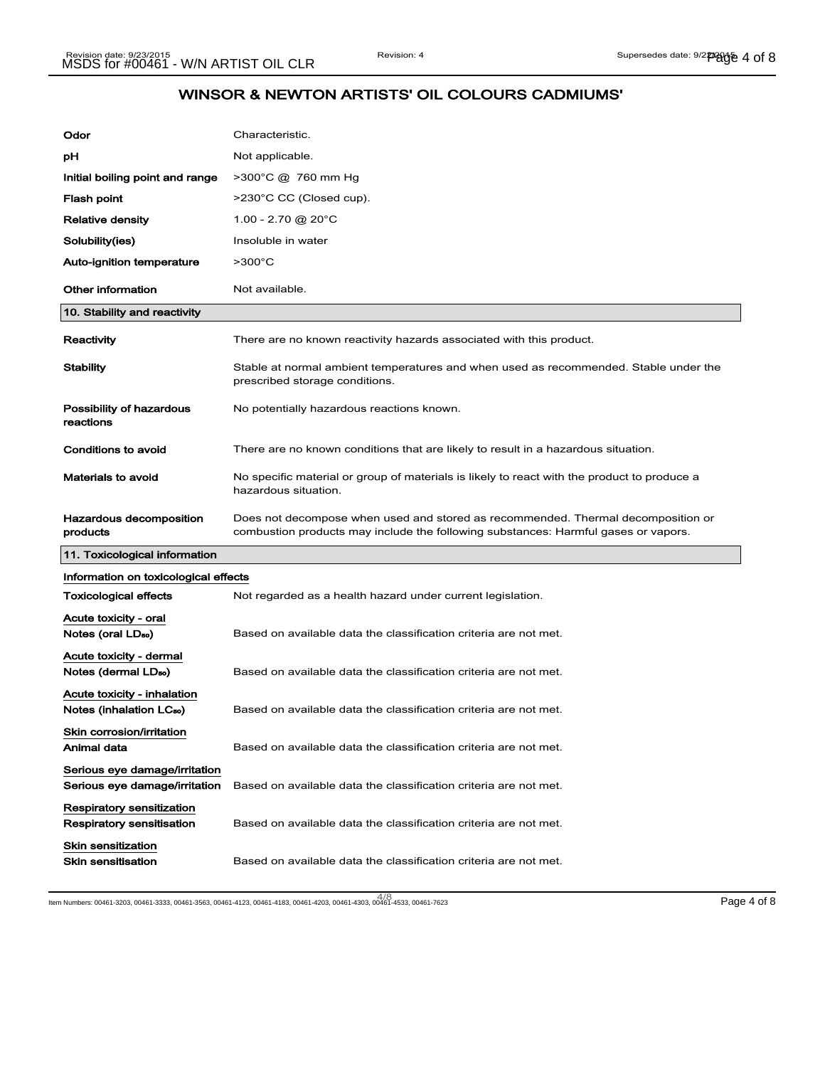| Odor                                                                 | Characteristic.                                                                                                                                                        |
|----------------------------------------------------------------------|------------------------------------------------------------------------------------------------------------------------------------------------------------------------|
| рH                                                                   | Not applicable.                                                                                                                                                        |
| Initial boiling point and range                                      | >300°C @ 760 mm Hg                                                                                                                                                     |
| Flash point                                                          | >230°C CC (Closed cup).                                                                                                                                                |
| <b>Relative density</b>                                              | $1.00 - 2.70$ @ 20 $^{\circ}$ C                                                                                                                                        |
| Solubility(ies)                                                      | Insoluble in water                                                                                                                                                     |
| Auto-ignition temperature                                            | $>300^{\circ}$ C                                                                                                                                                       |
| <b>Other information</b>                                             | Not available.                                                                                                                                                         |
| 10. Stability and reactivity                                         |                                                                                                                                                                        |
| Reactivity                                                           | There are no known reactivity hazards associated with this product.                                                                                                    |
| <b>Stability</b>                                                     | Stable at normal ambient temperatures and when used as recommended. Stable under the<br>prescribed storage conditions.                                                 |
| Possibility of hazardous<br>reactions                                | No potentially hazardous reactions known.                                                                                                                              |
| Conditions to avoid                                                  | There are no known conditions that are likely to result in a hazardous situation.                                                                                      |
| <b>Materials to avoid</b>                                            | No specific material or group of materials is likely to react with the product to produce a<br>hazardous situation.                                                    |
|                                                                      |                                                                                                                                                                        |
| Hazardous decomposition<br>products                                  | Does not decompose when used and stored as recommended. Thermal decomposition or<br>combustion products may include the following substances: Harmful gases or vapors. |
| 11. Toxicological information                                        |                                                                                                                                                                        |
| Information on toxicological effects                                 |                                                                                                                                                                        |
| <b>Toxicological effects</b>                                         | Not regarded as a health hazard under current legislation.                                                                                                             |
| Acute toxicity - oral<br>Notes (oral LD <sub>50</sub> )              | Based on available data the classification criteria are not met.                                                                                                       |
| Acute toxicity - dermal<br>Notes (dermal LD <sub>so</sub> )          | Based on available data the classification criteria are not met.                                                                                                       |
| Acute toxicity - inhalation<br>Notes (inhalation LC <sub>50</sub> )  | Based on available data the classification criteria are not met.                                                                                                       |
| Skin corrosion/irritation<br>Animal data                             | Based on available data the classification criteria are not met.                                                                                                       |
| Serious eye damage/irritation<br>Serious eye damage/irritation       | Based on available data the classification criteria are not met.                                                                                                       |
| <b>Respiratory sensitization</b><br><b>Respiratory sensitisation</b> | Based on available data the classification criteria are not met.                                                                                                       |

4/ 8 Item Numbers: 00461-3203, 00461-3333, 00461-3563, 00461-4123, 00461-4183, 00461-4203, 00461-4303, 00461-4533, 00461-7623 Page 4 of 8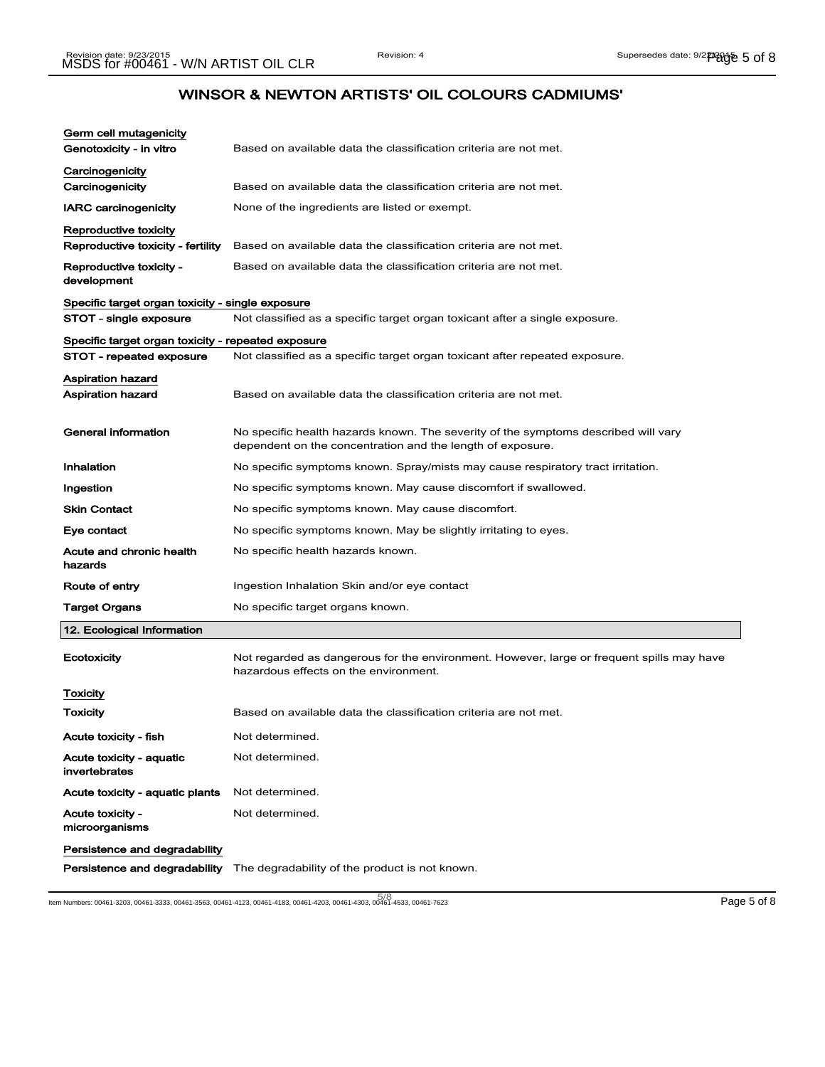| Germ cell mutagenicity                             |                                                                                                                                                  |
|----------------------------------------------------|--------------------------------------------------------------------------------------------------------------------------------------------------|
| Genotoxicity - in vitro                            | Based on available data the classification criteria are not met.                                                                                 |
| Carcinogenicity                                    |                                                                                                                                                  |
| Carcinogenicity                                    | Based on available data the classification criteria are not met.                                                                                 |
| <b>IARC carcinogenicity</b>                        | None of the ingredients are listed or exempt.                                                                                                    |
| Reproductive toxicity                              |                                                                                                                                                  |
| Reproductive toxicity - fertility                  | Based on available data the classification criteria are not met.                                                                                 |
| Reproductive toxicity -<br>development             | Based on available data the classification criteria are not met.                                                                                 |
| Specific target organ toxicity - single exposure   |                                                                                                                                                  |
| STOT - single exposure                             | Not classified as a specific target organ toxicant after a single exposure.                                                                      |
| Specific target organ toxicity - repeated exposure |                                                                                                                                                  |
| STOT - repeated exposure                           | Not classified as a specific target organ toxicant after repeated exposure.                                                                      |
| Aspiration hazard                                  |                                                                                                                                                  |
| <b>Aspiration hazard</b>                           | Based on available data the classification criteria are not met.                                                                                 |
|                                                    |                                                                                                                                                  |
| General information                                | No specific health hazards known. The severity of the symptoms described will vary<br>dependent on the concentration and the length of exposure. |
| Inhalation                                         | No specific symptoms known. Spray/mists may cause respiratory tract irritation.                                                                  |
| Ingestion                                          | No specific symptoms known. May cause discomfort if swallowed.                                                                                   |
| <b>Skin Contact</b>                                | No specific symptoms known. May cause discomfort.                                                                                                |
| Eye contact                                        | No specific symptoms known. May be slightly irritating to eyes.                                                                                  |
| Acute and chronic health<br>hazards                | No specific health hazards known.                                                                                                                |
| Route of entry                                     | Ingestion Inhalation Skin and/or eye contact                                                                                                     |
| Target Organs                                      | No specific target organs known.                                                                                                                 |
| 12. Ecological Information                         |                                                                                                                                                  |
| Ecotoxicity                                        | Not regarded as dangerous for the environment. However, large or frequent spills may have<br>hazardous effects on the environment.               |
| Toxicity                                           |                                                                                                                                                  |
| Toxicity                                           | Based on available data the classification criteria are not met.                                                                                 |
| Acute toxicity - fish                              | Not determined.                                                                                                                                  |
| Acute toxicity - aquatic<br>invertebrates          | Not determined.                                                                                                                                  |
| Acute toxicity - aquatic plants                    | Not determined.                                                                                                                                  |
| Acute toxicity -<br>microorganisms                 | Not determined.                                                                                                                                  |
| Persistence and degradability                      |                                                                                                                                                  |
| Persistence and degradability                      | The degradability of the product is not known.                                                                                                   |

5/ 8 Item Numbers: 00461-3203, 00461-3333, 00461-3563, 00461-4123, 00461-4183, 00461-4203, 00461-4303, 00461-4533, 00461-7623 Page 5 of 8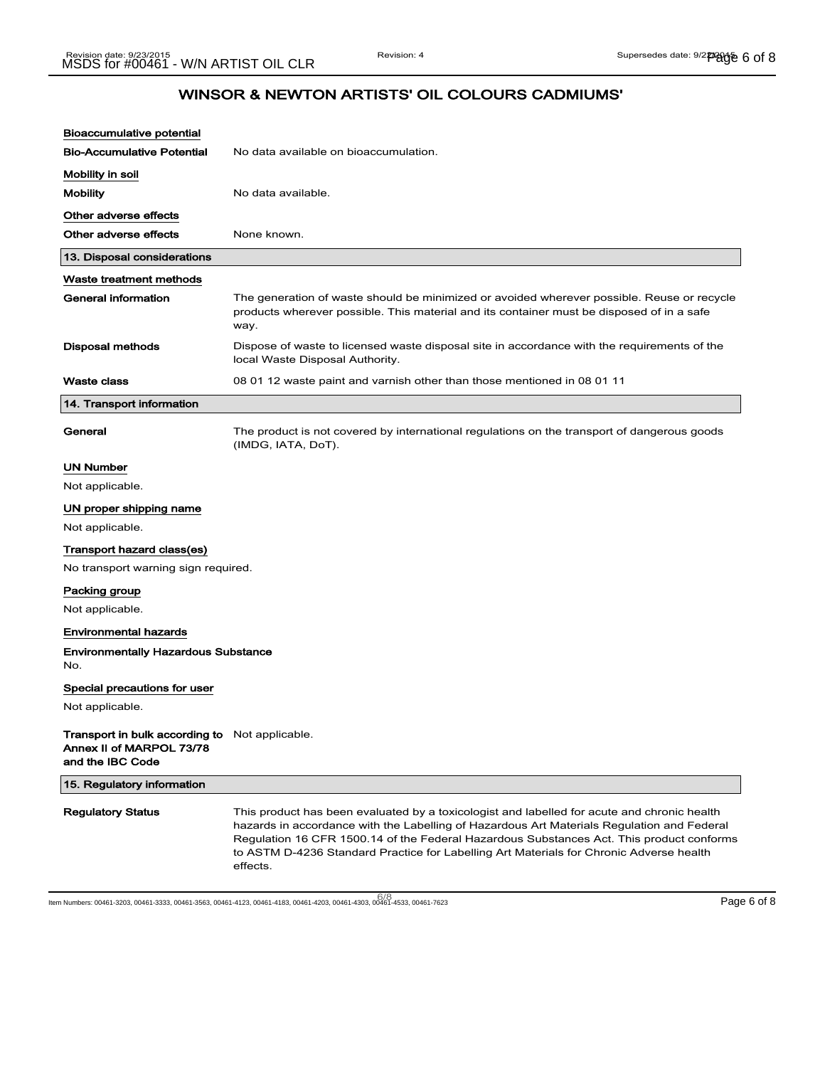| <b>Bioaccumulative potential</b>                                                                      |                                                                                                                                                                                                                                                                                                                                                                                              |
|-------------------------------------------------------------------------------------------------------|----------------------------------------------------------------------------------------------------------------------------------------------------------------------------------------------------------------------------------------------------------------------------------------------------------------------------------------------------------------------------------------------|
| <b>Bio-Accumulative Potential</b>                                                                     | No data available on bioaccumulation.                                                                                                                                                                                                                                                                                                                                                        |
| Mobility in soil                                                                                      |                                                                                                                                                                                                                                                                                                                                                                                              |
| <b>Mobility</b>                                                                                       | No data available.                                                                                                                                                                                                                                                                                                                                                                           |
| Other adverse effects                                                                                 |                                                                                                                                                                                                                                                                                                                                                                                              |
| Other adverse effects                                                                                 | None known.                                                                                                                                                                                                                                                                                                                                                                                  |
| 13. Disposal considerations                                                                           |                                                                                                                                                                                                                                                                                                                                                                                              |
| Waste treatment methods                                                                               |                                                                                                                                                                                                                                                                                                                                                                                              |
| General information                                                                                   | The generation of waste should be minimized or avoided wherever possible. Reuse or recycle<br>products wherever possible. This material and its container must be disposed of in a safe<br>way.                                                                                                                                                                                              |
| Disposal methods                                                                                      | Dispose of waste to licensed waste disposal site in accordance with the requirements of the<br>local Waste Disposal Authority.                                                                                                                                                                                                                                                               |
| <b>Waste class</b>                                                                                    | 08 01 12 waste paint and varnish other than those mentioned in 08 01 11                                                                                                                                                                                                                                                                                                                      |
| 14. Transport information                                                                             |                                                                                                                                                                                                                                                                                                                                                                                              |
| General                                                                                               | The product is not covered by international regulations on the transport of dangerous goods<br>(IMDG, IATA, DoT).                                                                                                                                                                                                                                                                            |
| <b>UN Number</b>                                                                                      |                                                                                                                                                                                                                                                                                                                                                                                              |
| Not applicable.                                                                                       |                                                                                                                                                                                                                                                                                                                                                                                              |
| UN proper shipping name                                                                               |                                                                                                                                                                                                                                                                                                                                                                                              |
| Not applicable.                                                                                       |                                                                                                                                                                                                                                                                                                                                                                                              |
| Transport hazard class(es)                                                                            |                                                                                                                                                                                                                                                                                                                                                                                              |
| No transport warning sign required.                                                                   |                                                                                                                                                                                                                                                                                                                                                                                              |
| Packing group                                                                                         |                                                                                                                                                                                                                                                                                                                                                                                              |
| Not applicable.                                                                                       |                                                                                                                                                                                                                                                                                                                                                                                              |
| <b>Environmental hazards</b>                                                                          |                                                                                                                                                                                                                                                                                                                                                                                              |
| <b>Environmentally Hazardous Substance</b><br>No.                                                     |                                                                                                                                                                                                                                                                                                                                                                                              |
| Special precautions for user                                                                          |                                                                                                                                                                                                                                                                                                                                                                                              |
| Not applicable.                                                                                       |                                                                                                                                                                                                                                                                                                                                                                                              |
| <b>Transport in bulk according to</b> Not applicable.<br>Annex II of MARPOL 73/78<br>and the IBC Code |                                                                                                                                                                                                                                                                                                                                                                                              |
| 15. Regulatory information                                                                            |                                                                                                                                                                                                                                                                                                                                                                                              |
| <b>Regulatory Status</b>                                                                              | This product has been evaluated by a toxicologist and labelled for acute and chronic health<br>hazards in accordance with the Labelling of Hazardous Art Materials Regulation and Federal<br>Regulation 16 CFR 1500.14 of the Federal Hazardous Substances Act. This product conforms<br>to ASTM D-4236 Standard Practice for Labelling Art Materials for Chronic Adverse health<br>effects. |

ltem Numbers: 00461-3203, 00461-3333, 00461-3563, 00461-4123, 00461-4183, 00461-4203, 00461-4303, 00461-4533, 00461-7623 Page 6 of 8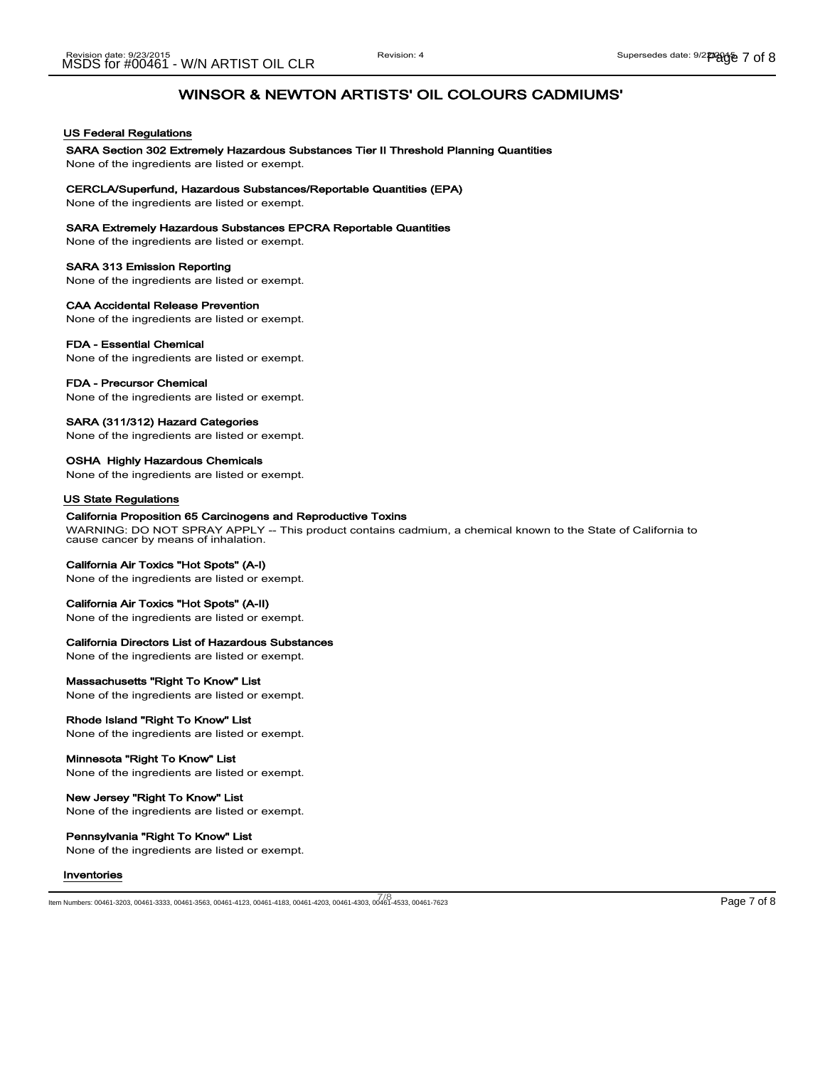#### US Federal Regulations

#### SARA Section 302 Extremely Hazardous Substances Tier II Threshold Planning Quantities None of the ingredients are listed or exempt.

#### CERCLA/Superfund, Hazardous Substances/Reportable Quantities (EPA)

None of the ingredients are listed or exempt.

#### SARA Extremely Hazardous Substances EPCRA Reportable Quantities

None of the ingredients are listed or exempt.

#### SARA 313 Emission Reporting

None of the ingredients are listed or exempt.

#### CAA Accidental Release Prevention

None of the ingredients are listed or exempt.

#### FDA - Essential Chemical

None of the ingredients are listed or exempt.

#### FDA - Precursor Chemical

None of the ingredients are listed or exempt.

#### SARA (311/312) Hazard Categories

None of the ingredients are listed or exempt.

## OSHA Highly Hazardous Chemicals

None of the ingredients are listed or exempt.

#### US State Regulations

#### California Proposition 65 Carcinogens and Reproductive Toxins

WARNING: DO NOT SPRAY APPLY -- This product contains cadmium, a chemical known to the State of California to cause cancer by means of inhalation.

#### California Air Toxics "Hot Spots" (A-I)

None of the ingredients are listed or exempt.

#### California Air Toxics "Hot Spots" (A-II)

None of the ingredients are listed or exempt.

#### California Directors List of Hazardous Substances

None of the ingredients are listed or exempt.

### Massachusetts "Right To Know" List

None of the ingredients are listed or exempt.

### Rhode Island "Right To Know" List

None of the ingredients are listed or exempt.

#### Minnesota "Right To Know" List

None of the ingredients are listed or exempt.

### New Jersey "Right To Know" List

None of the ingredients are listed or exempt.

### Pennsylvania "Right To Know" List

None of the ingredients are listed or exempt.

#### Inventories

7/8<br>Item Numbers: 00461-3203, 00461-3333, 00461-3563, 00461-4123, 00461-4183, 00461-4203, 00461-4303, 00461-4533, 00461-7623 Page 7 of 8